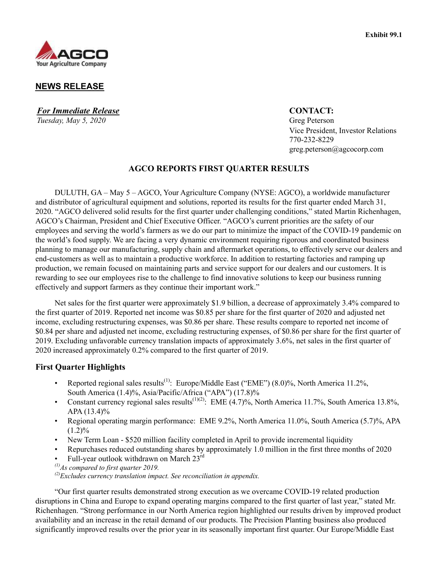

## **NEWS RELEASE**

*For Immediate Release* **CONTACT:** *Tuesday, May 5, 2020* Greg Peterson

Vice President, Investor Relations 770-232-8229 greg.peterson@agcocorp.com

### **AGCO REPORTS FIRST QUARTER RESULTS**

DULUTH, GA – May 5 – AGCO, Your Agriculture Company (NYSE: AGCO), a worldwide manufacturer and distributor of agricultural equipment and solutions, reported its results for the first quarter ended March 31, 2020. "AGCO delivered solid results for the first quarter under challenging conditions," stated Martin Richenhagen, AGCO's Chairman, President and Chief Executive Officer. "AGCO's current priorities are the safety of our employees and serving the world's farmers as we do our part to minimize the impact of the COVID-19 pandemic on the world's food supply. We are facing a very dynamic environment requiring rigorous and coordinated business planning to manage our manufacturing, supply chain and aftermarket operations, to effectively serve our dealers and end-customers as well as to maintain a productive workforce. In addition to restarting factories and ramping up production, we remain focused on maintaining parts and service support for our dealers and our customers. It is rewarding to see our employees rise to the challenge to find innovative solutions to keep our business running effectively and support farmers as they continue their important work."

Net sales for the first quarter were approximately \$1.9 billion, a decrease of approximately 3.4% compared to the first quarter of 2019. Reported net income was \$0.85 per share for the first quarter of 2020 and adjusted net income, excluding restructuring expenses, was \$0.86 per share. These results compare to reported net income of \$0.84 per share and adjusted net income, excluding restructuring expenses, of \$0.86 per share for the first quarter of 2019. Excluding unfavorable currency translation impacts of approximately 3.6%, net sales in the first quarter of 2020 increased approximately 0.2% compared to the first quarter of 2019.

### **First Quarter Highlights**

- Reported regional sales results<sup>(1)</sup>: Europe/Middle East ("EME")  $(8.0)$ %, North America 11.2%, South America (1.4)%, Asia/Pacific/Africa ("APA") (17.8)%
- Constant currency regional sales results<sup>(1)(2)</sup>: EME  $(4.7)$ %, North America 11.7%, South America 13.8%, APA (13.4)%
- Regional operating margin performance: EME 9.2%, North America 11.0%, South America (5.7)%, APA  $(1.2)\%$
- New Term Loan \$520 million facility completed in April to provide incremental liquidity
- Repurchases reduced outstanding shares by approximately 1.0 million in the first three months of 2020
- Full-year outlook withdrawn on March  $23^{\text{rd}}$
- *(1)As compared to first quarter 2019.*

*(2)Excludes currency translation impact. See reconciliation in appendix.*

"Our first quarter results demonstrated strong execution as we overcame COVID-19 related production disruptions in China and Europe to expand operating margins compared to the first quarter of last year," stated Mr. Richenhagen. "Strong performance in our North America region highlighted our results driven by improved product availability and an increase in the retail demand of our products. The Precision Planting business also produced significantly improved results over the prior year in its seasonally important first quarter. Our Europe/Middle East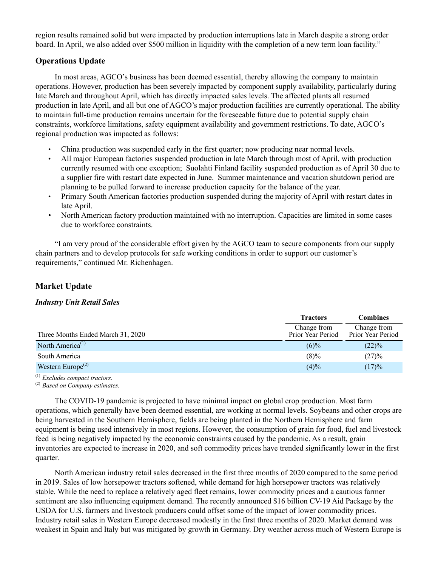region results remained solid but were impacted by production interruptions late in March despite a strong order board. In April, we also added over \$500 million in liquidity with the completion of a new term loan facility."

## **Operations Update**

In most areas, AGCO's business has been deemed essential, thereby allowing the company to maintain operations. However, production has been severely impacted by component supply availability, particularly during late March and throughout April, which has directly impacted sales levels. The affected plants all resumed production in late April, and all but one of AGCO's major production facilities are currently operational. The ability to maintain full-time production remains uncertain for the foreseeable future due to potential supply chain constraints, workforce limitations, safety equipment availability and government restrictions. To date, AGCO's regional production was impacted as follows:

- China production was suspended early in the first quarter; now producing near normal levels.
- All major European factories suspended production in late March through most of April, with production currently resumed with one exception; Suolahti Finland facility suspended production as of April 30 due to a supplier fire with restart date expected in June. Summer maintenance and vacation shutdown period are planning to be pulled forward to increase production capacity for the balance of the year.
- Primary South American factories production suspended during the majority of April with restart dates in late April.
- North American factory production maintained with no interruption. Capacities are limited in some cases due to workforce constraints.

"I am very proud of the considerable effort given by the AGCO team to secure components from our supply chain partners and to develop protocols for safe working conditions in order to support our customer's requirements," continued Mr. Richenhagen.

## **Market Update**

### *Industry Unit Retail Sales*

|                                            | <b>Tractors</b>                  | <b>Combines</b>                  |
|--------------------------------------------|----------------------------------|----------------------------------|
| Three Months Ended March 31, 2020          | Change from<br>Prior Year Period | Change from<br>Prior Year Period |
| North America <sup>(1)</sup>               | $(6)\%$                          | $(22)\%$                         |
| South America                              | $(8)\%$                          | (27)%                            |
| Western Europe <sup><math>(2)</math></sup> | $(4)\%$                          | (17)%                            |

(1) *Excludes compact tractors.*

(2) *Based on Company estimates.*

The COVID-19 pandemic is projected to have minimal impact on global crop production. Most farm operations, which generally have been deemed essential, are working at normal levels. Soybeans and other crops are being harvested in the Southern Hemisphere, fields are being planted in the Northern Hemisphere and farm equipment is being used intensively in most regions. However, the consumption of grain for food, fuel and livestock feed is being negatively impacted by the economic constraints caused by the pandemic. As a result, grain inventories are expected to increase in 2020, and soft commodity prices have trended significantly lower in the first quarter.

North American industry retail sales decreased in the first three months of 2020 compared to the same period in 2019. Sales of low horsepower tractors softened, while demand for high horsepower tractors was relatively stable. While the need to replace a relatively aged fleet remains, lower commodity prices and a cautious farmer sentiment are also influencing equipment demand. The recently announced \$16 billion CV-19 Aid Package by the USDA for U.S. farmers and livestock producers could offset some of the impact of lower commodity prices. Industry retail sales in Western Europe decreased modestly in the first three months of 2020. Market demand was weakest in Spain and Italy but was mitigated by growth in Germany. Dry weather across much of Western Europe is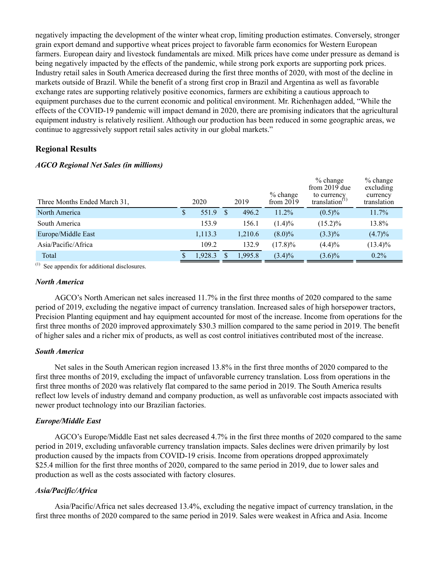negatively impacting the development of the winter wheat crop, limiting production estimates. Conversely, stronger grain export demand and supportive wheat prices project to favorable farm economics for Western European farmers. European dairy and livestock fundamentals are mixed. Milk prices have come under pressure as demand is being negatively impacted by the effects of the pandemic, while strong pork exports are supporting pork prices. Industry retail sales in South America decreased during the first three months of 2020, with most of the decline in markets outside of Brazil. While the benefit of a strong first crop in Brazil and Argentina as well as favorable exchange rates are supporting relatively positive economics, farmers are exhibiting a cautious approach to equipment purchases due to the current economic and political environment. Mr. Richenhagen added, "While the effects of the COVID-19 pandemic will impact demand in 2020, there are promising indicators that the agricultural equipment industry is relatively resilient. Although our production has been reduced in some geographic areas, we continue to aggressively support retail sales activity in our global markets."

## **Regional Results**

### *AGCO Regional Net Sales (in millions)*

| Three Months Ended March 31, | 2020        |          | 2019    | $%$ change<br>from $2019$ | $%$ change<br>from $2019$ due<br>to currency<br>translation $(1)$ | $%$ change<br>excluding<br>currency<br>translation |
|------------------------------|-------------|----------|---------|---------------------------|-------------------------------------------------------------------|----------------------------------------------------|
| North America                | \$<br>551.9 | \$.      | 496.2   | $11.2\%$                  | $(0.5)\%$                                                         | 11.7%                                              |
| South America                | 153.9       |          | 156.1   | $(1.4)\%$                 | $(15.2)\%$                                                        | 13.8%                                              |
| Europe/Middle East           | 1,113.3     |          | 1,210.6 | $(8.0)\%$                 | $(3.3)\%$                                                         | $(4.7)\%$                                          |
| Asia/Pacific/Africa          | 109.2       |          | 132.9   | $(17.8)\%$                | (4.4)%                                                            | $(13.4)\%$                                         |
| Total                        | 1.928.3     | <b>S</b> | 1,995.8 | $(3.4)\%$                 | $(3.6)\%$                                                         | $0.2\%$                                            |

 $(1)$  See appendix for additional disclosures.

#### *North America*

AGCO's North American net sales increased 11.7% in the first three months of 2020 compared to the same period of 2019, excluding the negative impact of currency translation. Increased sales of high horsepower tractors, Precision Planting equipment and hay equipment accounted for most of the increase. Income from operations for the first three months of 2020 improved approximately \$30.3 million compared to the same period in 2019. The benefit of higher sales and a richer mix of products, as well as cost control initiatives contributed most of the increase.

### *South America*

Net sales in the South American region increased 13.8% in the first three months of 2020 compared to the first three months of 2019, excluding the impact of unfavorable currency translation. Loss from operations in the first three months of 2020 was relatively flat compared to the same period in 2019. The South America results reflect low levels of industry demand and company production, as well as unfavorable cost impacts associated with newer product technology into our Brazilian factories.

### *Europe/Middle East*

AGCO's Europe/Middle East net sales decreased 4.7% in the first three months of 2020 compared to the same period in 2019, excluding unfavorable currency translation impacts. Sales declines were driven primarily by lost production caused by the impacts from COVID-19 crisis. Income from operations dropped approximately \$25.4 million for the first three months of 2020, compared to the same period in 2019, due to lower sales and production as well as the costs associated with factory closures.

### *Asia/Pacific/Africa*

Asia/Pacific/Africa net sales decreased 13.4%, excluding the negative impact of currency translation, in the first three months of 2020 compared to the same period in 2019. Sales were weakest in Africa and Asia. Income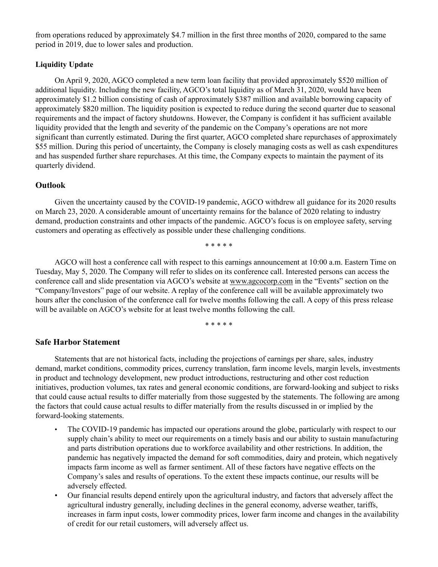from operations reduced by approximately \$4.7 million in the first three months of 2020, compared to the same period in 2019, due to lower sales and production.

### **Liquidity Update**

On April 9, 2020, AGCO completed a new term loan facility that provided approximately \$520 million of additional liquidity. Including the new facility, AGCO's total liquidity as of March 31, 2020, would have been approximately \$1.2 billion consisting of cash of approximately \$387 million and available borrowing capacity of approximately \$820 million. The liquidity position is expected to reduce during the second quarter due to seasonal requirements and the impact of factory shutdowns. However, the Company is confident it has sufficient available liquidity provided that the length and severity of the pandemic on the Company's operations are not more significant than currently estimated. During the first quarter, AGCO completed share repurchases of approximately \$55 million. During this period of uncertainty, the Company is closely managing costs as well as cash expenditures and has suspended further share repurchases. At this time, the Company expects to maintain the payment of its quarterly dividend.

### **Outlook**

Given the uncertainty caused by the COVID-19 pandemic, AGCO withdrew all guidance for its 2020 results on March 23, 2020. A considerable amount of uncertainty remains for the balance of 2020 relating to industry demand, production constraints and other impacts of the pandemic. AGCO's focus is on employee safety, serving customers and operating as effectively as possible under these challenging conditions.

\* \* \* \* \*

AGCO will host a conference call with respect to this earnings announcement at 10:00 a.m. Eastern Time on Tuesday, May 5, 2020. The Company will refer to slides on its conference call. Interested persons can access the conference call and slide presentation via AGCO's website at www.agcocorp.com in the "Events" section on the "Company/Investors" page of our website. A replay of the conference call will be available approximately two hours after the conclusion of the conference call for twelve months following the call. A copy of this press release will be available on AGCO's website for at least twelve months following the call.

\* \* \* \* \*

### **Safe Harbor Statement**

Statements that are not historical facts, including the projections of earnings per share, sales, industry demand, market conditions, commodity prices, currency translation, farm income levels, margin levels, investments in product and technology development, new product introductions, restructuring and other cost reduction initiatives, production volumes, tax rates and general economic conditions, are forward-looking and subject to risks that could cause actual results to differ materially from those suggested by the statements. The following are among the factors that could cause actual results to differ materially from the results discussed in or implied by the forward-looking statements.

- The COVID-19 pandemic has impacted our operations around the globe, particularly with respect to our supply chain's ability to meet our requirements on a timely basis and our ability to sustain manufacturing and parts distribution operations due to workforce availability and other restrictions. In addition, the pandemic has negatively impacted the demand for soft commodities, dairy and protein, which negatively impacts farm income as well as farmer sentiment. All of these factors have negative effects on the Company's sales and results of operations. To the extent these impacts continue, our results will be adversely effected.
- Our financial results depend entirely upon the agricultural industry, and factors that adversely affect the agricultural industry generally, including declines in the general economy, adverse weather, tariffs, increases in farm input costs, lower commodity prices, lower farm income and changes in the availability of credit for our retail customers, will adversely affect us.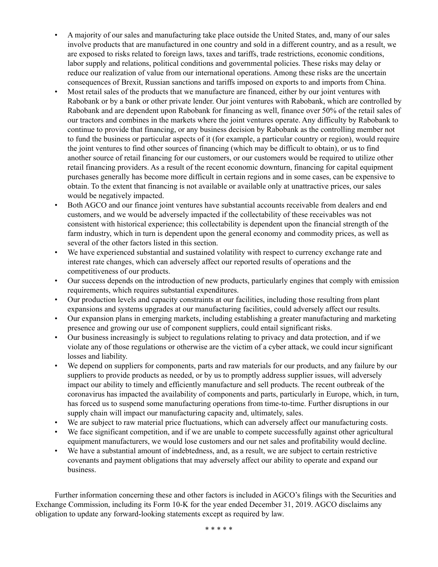- A majority of our sales and manufacturing take place outside the United States, and, many of our sales involve products that are manufactured in one country and sold in a different country, and as a result, we are exposed to risks related to foreign laws, taxes and tariffs, trade restrictions, economic conditions, labor supply and relations, political conditions and governmental policies. These risks may delay or reduce our realization of value from our international operations. Among these risks are the uncertain consequences of Brexit, Russian sanctions and tariffs imposed on exports to and imports from China.
- Most retail sales of the products that we manufacture are financed, either by our joint ventures with Rabobank or by a bank or other private lender. Our joint ventures with Rabobank, which are controlled by Rabobank and are dependent upon Rabobank for financing as well, finance over 50% of the retail sales of our tractors and combines in the markets where the joint ventures operate. Any difficulty by Rabobank to continue to provide that financing, or any business decision by Rabobank as the controlling member not to fund the business or particular aspects of it (for example, a particular country or region), would require the joint ventures to find other sources of financing (which may be difficult to obtain), or us to find another source of retail financing for our customers, or our customers would be required to utilize other retail financing providers. As a result of the recent economic downturn, financing for capital equipment purchases generally has become more difficult in certain regions and in some cases, can be expensive to obtain. To the extent that financing is not available or available only at unattractive prices, our sales would be negatively impacted.
- Both AGCO and our finance joint ventures have substantial accounts receivable from dealers and end customers, and we would be adversely impacted if the collectability of these receivables was not consistent with historical experience; this collectability is dependent upon the financial strength of the farm industry, which in turn is dependent upon the general economy and commodity prices, as well as several of the other factors listed in this section.
- We have experienced substantial and sustained volatility with respect to currency exchange rate and interest rate changes, which can adversely affect our reported results of operations and the competitiveness of our products.
- Our success depends on the introduction of new products, particularly engines that comply with emission requirements, which requires substantial expenditures.
- Our production levels and capacity constraints at our facilities, including those resulting from plant expansions and systems upgrades at our manufacturing facilities, could adversely affect our results.
- Our expansion plans in emerging markets, including establishing a greater manufacturing and marketing presence and growing our use of component suppliers, could entail significant risks.
- Our business increasingly is subject to regulations relating to privacy and data protection, and if we violate any of those regulations or otherwise are the victim of a cyber attack, we could incur significant losses and liability.
- We depend on suppliers for components, parts and raw materials for our products, and any failure by our suppliers to provide products as needed, or by us to promptly address supplier issues, will adversely impact our ability to timely and efficiently manufacture and sell products. The recent outbreak of the coronavirus has impacted the availability of components and parts, particularly in Europe, which, in turn, has forced us to suspend some manufacturing operations from time-to-time. Further disruptions in our supply chain will impact our manufacturing capacity and, ultimately, sales.
- We are subject to raw material price fluctuations, which can adversely affect our manufacturing costs.
- We face significant competition, and if we are unable to compete successfully against other agricultural equipment manufacturers, we would lose customers and our net sales and profitability would decline.
- We have a substantial amount of indebtedness, and, as a result, we are subject to certain restrictive covenants and payment obligations that may adversely affect our ability to operate and expand our business.

Further information concerning these and other factors is included in AGCO's filings with the Securities and Exchange Commission, including its Form 10-K for the year ended December 31, 2019. AGCO disclaims any obligation to update any forward-looking statements except as required by law.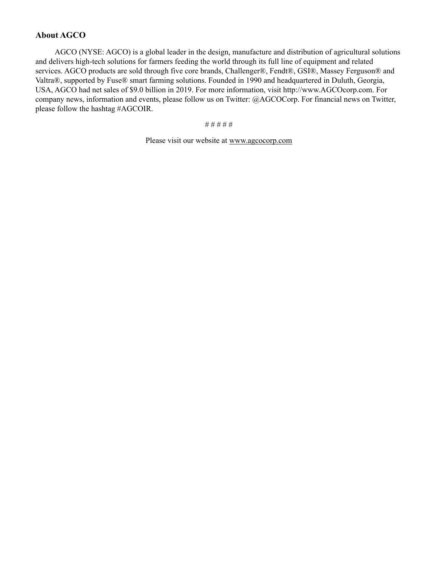## **About AGCO**

AGCO (NYSE: AGCO) is a global leader in the design, manufacture and distribution of agricultural solutions and delivers high-tech solutions for farmers feeding the world through its full line of equipment and related services. AGCO products are sold through five core brands, Challenger®, Fendt®, GSI®, Massey Ferguson® and Valtra®, supported by Fuse® smart farming solutions. Founded in 1990 and headquartered in Duluth, Georgia, USA, AGCO had net sales of \$9.0 billion in 2019. For more information, visit http://www.AGCOcorp.com. For company news, information and events, please follow us on Twitter: @AGCOCorp. For financial news on Twitter, please follow the hashtag #AGCOIR.

# # # # #

Please visit our website at www.agcocorp.com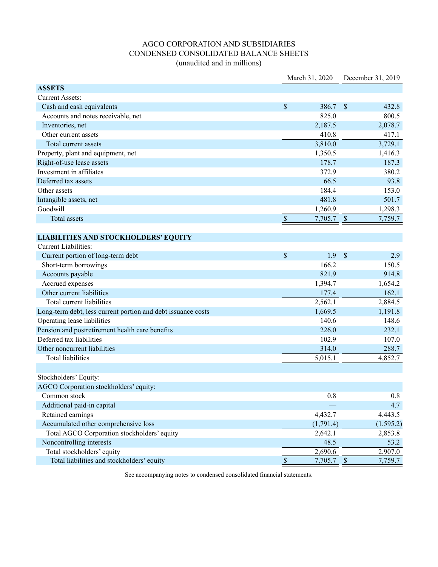## AGCO CORPORATION AND SUBSIDIARIES CONDENSED CONSOLIDATED BALANCE SHEETS (unaudited and in millions)

|                                                              |                          | March 31, 2020       |                      | December 31, 2019 |  |  |
|--------------------------------------------------------------|--------------------------|----------------------|----------------------|-------------------|--|--|
| <b>ASSETS</b>                                                |                          |                      |                      |                   |  |  |
| <b>Current Assets:</b>                                       |                          |                      |                      |                   |  |  |
| Cash and cash equivalents                                    | \$                       | 386.7                | $\mathcal{S}$        | 432.8             |  |  |
| Accounts and notes receivable, net                           |                          | 825.0                |                      | 800.5             |  |  |
| Inventories, net                                             |                          | 2,187.5              |                      | 2,078.7           |  |  |
| Other current assets                                         |                          | 410.8                |                      | 417.1             |  |  |
| Total current assets                                         |                          | 3,810.0              |                      | 3,729.1           |  |  |
| Property, plant and equipment, net                           |                          | 1,350.5              |                      | 1,416.3           |  |  |
| Right-of-use lease assets                                    |                          | 178.7                |                      | 187.3             |  |  |
| Investment in affiliates                                     |                          | 372.9                |                      | 380.2             |  |  |
| Deferred tax assets                                          |                          | 66.5                 |                      | 93.8              |  |  |
| Other assets                                                 |                          | 184.4                |                      | 153.0             |  |  |
| Intangible assets, net                                       |                          | 481.8                |                      | 501.7             |  |  |
| Goodwill                                                     |                          | 1,260.9              |                      | 1,298.3           |  |  |
| Total assets                                                 | $\overline{\mathcal{S}}$ | $7,705.7$ \$         |                      | 7,759.7           |  |  |
|                                                              |                          |                      |                      |                   |  |  |
| <b>LIABILITIES AND STOCKHOLDERS' EQUITY</b>                  |                          |                      |                      |                   |  |  |
| <b>Current Liabilities:</b>                                  |                          |                      |                      |                   |  |  |
| Current portion of long-term debt                            | \$                       | 1.9                  | $\sqrt{\frac{2}{5}}$ | 2.9               |  |  |
| Short-term borrowings                                        |                          | 166.2                |                      | 150.5             |  |  |
| Accounts payable                                             |                          | 821.9                |                      | 914.8             |  |  |
| Accrued expenses                                             |                          | 1,394.7              |                      | 1,654.2           |  |  |
| Other current liabilities                                    |                          | 177.4                |                      | 162.1             |  |  |
| Total current liabilities                                    |                          | 2,562.1              |                      | 2,884.5           |  |  |
| Long-term debt, less current portion and debt issuance costs |                          | 1,669.5              |                      | 1,191.8           |  |  |
| Operating lease liabilities                                  |                          | 140.6                |                      | 148.6             |  |  |
| Pension and postretirement health care benefits              |                          | 226.0                |                      | 232.1             |  |  |
| Deferred tax liabilities                                     |                          | 102.9                |                      | 107.0             |  |  |
| Other noncurrent liabilities                                 |                          | 314.0                |                      | 288.7             |  |  |
| <b>Total liabilities</b>                                     |                          | $\overline{5,015.1}$ |                      | 4,852.7           |  |  |
|                                                              |                          |                      |                      |                   |  |  |
| Stockholders' Equity:                                        |                          |                      |                      |                   |  |  |
| AGCO Corporation stockholders' equity:                       |                          |                      |                      |                   |  |  |
| Common stock                                                 |                          | 0.8                  |                      | $0.8\,$           |  |  |
| Additional paid-in capital                                   |                          |                      |                      | 4.7               |  |  |
| Retained earnings                                            |                          | 4,432.7              |                      | 4,443.5           |  |  |
| Accumulated other comprehensive loss                         |                          | (1,791.4)            |                      | (1, 595.2)        |  |  |
| Total AGCO Corporation stockholders' equity                  |                          | 2,642.1              |                      | 2,853.8           |  |  |
| Noncontrolling interests                                     |                          | 48.5                 |                      | 53.2              |  |  |
| Total stockholders' equity                                   |                          | 2,690.6              |                      | 2,907.0           |  |  |
| Total liabilities and stockholders' equity                   | $\overline{\mathcal{S}}$ | $7,705.7$ \$         |                      | 7,759.7           |  |  |

See accompanying notes to condensed consolidated financial statements.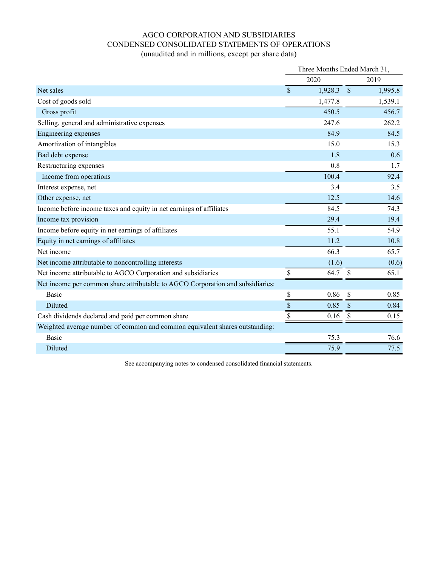## AGCO CORPORATION AND SUBSIDIARIES CONDENSED CONSOLIDATED STATEMENTS OF OPERATIONS (unaudited and in millions, except per share data)

|                                                                                | Three Months Ended March 31, |         |               |         |  |  |  |
|--------------------------------------------------------------------------------|------------------------------|---------|---------------|---------|--|--|--|
|                                                                                |                              | 2020    |               | 2019    |  |  |  |
| Net sales                                                                      | $\mathbf S$                  | 1,928.3 | $\mathbb{S}$  | 1,995.8 |  |  |  |
| Cost of goods sold                                                             |                              | 1,477.8 |               | 1,539.1 |  |  |  |
| Gross profit                                                                   |                              | 450.5   |               | 456.7   |  |  |  |
| Selling, general and administrative expenses                                   |                              | 247.6   |               | 262.2   |  |  |  |
| Engineering expenses                                                           |                              | 84.9    |               | 84.5    |  |  |  |
| Amortization of intangibles                                                    |                              | 15.0    |               | 15.3    |  |  |  |
| Bad debt expense                                                               |                              | 1.8     |               | 0.6     |  |  |  |
| Restructuring expenses                                                         |                              | 0.8     |               | 1.7     |  |  |  |
| Income from operations                                                         |                              | 100.4   |               | 92.4    |  |  |  |
| Interest expense, net                                                          |                              | 3.4     |               | 3.5     |  |  |  |
| Other expense, net                                                             |                              | 12.5    |               | 14.6    |  |  |  |
| Income before income taxes and equity in net earnings of affiliates            |                              | 84.5    |               | 74.3    |  |  |  |
| Income tax provision                                                           |                              | 29.4    |               | 19.4    |  |  |  |
| Income before equity in net earnings of affiliates                             |                              | 55.1    |               | 54.9    |  |  |  |
| Equity in net earnings of affiliates                                           |                              | 11.2    |               | 10.8    |  |  |  |
| Net income                                                                     |                              | 66.3    |               | 65.7    |  |  |  |
| Net income attributable to noncontrolling interests                            |                              | (1.6)   |               | (0.6)   |  |  |  |
| Net income attributable to AGCO Corporation and subsidiaries                   | \$                           | 64.7    | \$            | 65.1    |  |  |  |
| Net income per common share attributable to AGCO Corporation and subsidiaries: |                              |         |               |         |  |  |  |
| <b>Basic</b>                                                                   | \$                           | 0.86    | \$            | 0.85    |  |  |  |
| <b>Diluted</b>                                                                 | $\overline{\$}$              | 0.85    | $\mathbf{\$}$ | 0.84    |  |  |  |
| Cash dividends declared and paid per common share                              | \$                           | 0.16    | S.            | 0.15    |  |  |  |
| Weighted average number of common and common equivalent shares outstanding:    |                              |         |               |         |  |  |  |
| <b>Basic</b>                                                                   |                              | 75.3    |               | 76.6    |  |  |  |
| Diluted                                                                        |                              | 75.9    |               | 77.5    |  |  |  |

See accompanying notes to condensed consolidated financial statements.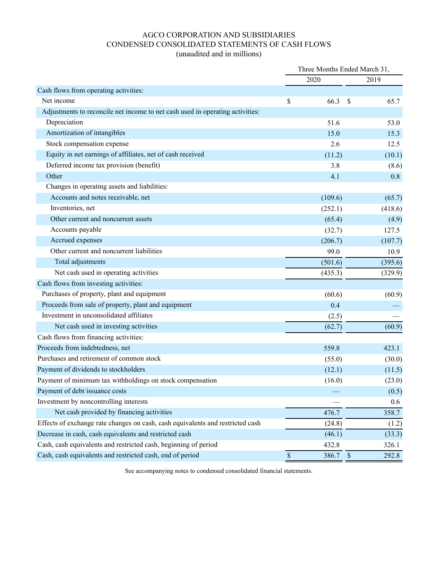## AGCO CORPORATION AND SUBSIDIARIES CONDENSED CONSOLIDATED STATEMENTS OF CASH FLOWS (unaudited and in millions)

|                                                                                |             | Three Months Ended March 31, |               |         |
|--------------------------------------------------------------------------------|-------------|------------------------------|---------------|---------|
|                                                                                |             | 2020                         |               | 2019    |
| Cash flows from operating activities:                                          |             |                              |               |         |
| Net income                                                                     | \$          | 66.3                         | $\mathcal{S}$ | 65.7    |
| Adjustments to reconcile net income to net cash used in operating activities:  |             |                              |               |         |
| Depreciation                                                                   |             | 51.6                         |               | 53.0    |
| Amortization of intangibles                                                    |             | 15.0                         |               | 15.3    |
| Stock compensation expense                                                     |             | 2.6                          |               | 12.5    |
| Equity in net earnings of affiliates, net of cash received                     |             | (11.2)                       |               | (10.1)  |
| Deferred income tax provision (benefit)                                        |             | 3.8                          |               | (8.6)   |
| Other                                                                          |             | 4.1                          |               | 0.8     |
| Changes in operating assets and liabilities:                                   |             |                              |               |         |
| Accounts and notes receivable, net                                             |             | (109.6)                      |               | (65.7)  |
| Inventories, net                                                               |             | (252.1)                      |               | (418.6) |
| Other current and noncurrent assets                                            |             | (65.4)                       |               | (4.9)   |
| Accounts payable                                                               |             | (32.7)                       |               | 127.5   |
| Accrued expenses                                                               |             | (206.7)                      |               | (107.7) |
| Other current and noncurrent liabilities                                       |             | 99.0                         |               | 10.9    |
| Total adjustments                                                              |             | (501.6)                      |               | (395.6) |
| Net cash used in operating activities                                          |             | (435.3)                      |               | (329.9) |
| Cash flows from investing activities:                                          |             |                              |               |         |
| Purchases of property, plant and equipment                                     |             | (60.6)                       |               | (60.9)  |
| Proceeds from sale of property, plant and equipment                            |             | 0.4                          |               |         |
| Investment in unconsolidated affiliates                                        |             | (2.5)                        |               |         |
| Net cash used in investing activities                                          |             | (62.7)                       |               | (60.9)  |
| Cash flows from financing activities:                                          |             |                              |               |         |
| Proceeds from indebtedness, net                                                |             | 559.8                        |               | 423.1   |
| Purchases and retirement of common stock                                       |             | (55.0)                       |               | (30.0)  |
| Payment of dividends to stockholders                                           |             | (12.1)                       |               | (11.5)  |
| Payment of minimum tax withholdings on stock compensation                      |             | (16.0)                       |               | (23.0)  |
| Payment of debt issuance costs                                                 |             |                              |               | (0.5)   |
| Investment by noncontrolling interests                                         |             |                              |               | 0.6     |
| Net cash provided by financing activities                                      |             | 476.7                        |               | 358.7   |
| Effects of exchange rate changes on cash, cash equivalents and restricted cash |             | (24.8)                       |               | (1.2)   |
| Decrease in cash, cash equivalents and restricted cash                         |             | (46.1)                       |               | (33.3)  |
| Cash, cash equivalents and restricted cash, beginning of period                |             | 432.8                        |               | 326.1   |
| Cash, cash equivalents and restricted cash, end of period                      | $\mathbb S$ | 386.7                        | $\sqrt{3}$    | 292.8   |

See accompanying notes to condensed consolidated financial statements.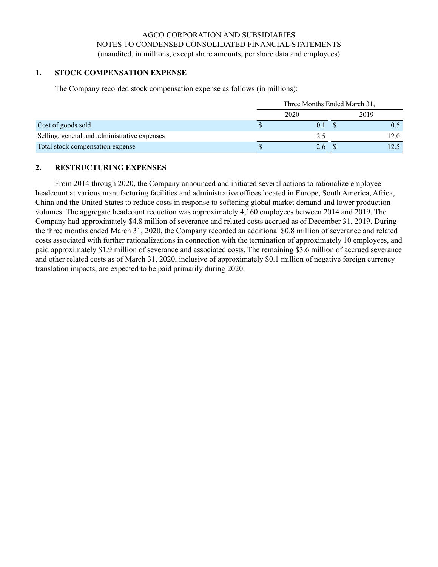## AGCO CORPORATION AND SUBSIDIARIES NOTES TO CONDENSED CONSOLIDATED FINANCIAL STATEMENTS (unaudited, in millions, except share amounts, per share data and employees)

# **1. STOCK COMPENSATION EXPENSE**

The Company recorded stock compensation expense as follows (in millions):

|                                              | Three Months Ended March 31, |     |      |     |  |  |  |  |  |
|----------------------------------------------|------------------------------|-----|------|-----|--|--|--|--|--|
|                                              | 2020                         |     | 2019 |     |  |  |  |  |  |
| Cost of goods sold                           |                              |     |      |     |  |  |  |  |  |
| Selling, general and administrative expenses |                              | 2.5 |      | 120 |  |  |  |  |  |
| Total stock compensation expense             |                              | 2.6 |      |     |  |  |  |  |  |

## **2. RESTRUCTURING EXPENSES**

From 2014 through 2020, the Company announced and initiated several actions to rationalize employee headcount at various manufacturing facilities and administrative offices located in Europe, South America, Africa, China and the United States to reduce costs in response to softening global market demand and lower production volumes. The aggregate headcount reduction was approximately 4,160 employees between 2014 and 2019. The Company had approximately \$4.8 million of severance and related costs accrued as of December 31, 2019. During the three months ended March 31, 2020, the Company recorded an additional \$0.8 million of severance and related costs associated with further rationalizations in connection with the termination of approximately 10 employees, and paid approximately \$1.9 million of severance and associated costs. The remaining \$3.6 million of accrued severance and other related costs as of March 31, 2020, inclusive of approximately \$0.1 million of negative foreign currency translation impacts, are expected to be paid primarily during 2020.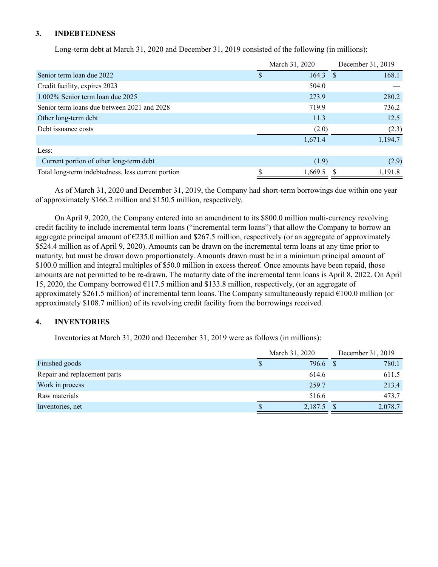## **3. INDEBTEDNESS**

Long-term debt at March 31, 2020 and December 31, 2019 consisted of the following (in millions):

|                                                    |     | March 31, 2020 | December 31, 2019 |
|----------------------------------------------------|-----|----------------|-------------------|
| Senior term loan due 2022                          | \$. | $164.3$ \$     | 168.1             |
| Credit facility, expires 2023                      |     | 504.0          |                   |
| 1.002% Senior term loan due 2025                   |     | 273.9          | 280.2             |
| Senior term loans due between 2021 and 2028        |     | 719.9          | 736.2             |
| Other long-term debt                               |     | 11.3           | 12.5              |
| Debt issuance costs                                |     | (2.0)          | (2.3)             |
|                                                    |     | 1,671.4        | 1,194.7           |
| Less:                                              |     |                |                   |
| Current portion of other long-term debt            |     | (1.9)          | (2.9)             |
| Total long-term indebtedness, less current portion |     | 1,669.5        | 1,191.8           |

As of March 31, 2020 and December 31, 2019, the Company had short-term borrowings due within one year of approximately \$166.2 million and \$150.5 million, respectively.

On April 9, 2020, the Company entered into an amendment to its \$800.0 million multi-currency revolving credit facility to include incremental term loans ("incremental term loans") that allow the Company to borrow an aggregate principal amount of  $\epsilon$ 235.0 million and \$267.5 million, respectively (or an aggregate of approximately \$524.4 million as of April 9, 2020). Amounts can be drawn on the incremental term loans at any time prior to maturity, but must be drawn down proportionately. Amounts drawn must be in a minimum principal amount of \$100.0 million and integral multiples of \$50.0 million in excess thereof. Once amounts have been repaid, those amounts are not permitted to be re-drawn. The maturity date of the incremental term loans is April 8, 2022. On April 15, 2020, the Company borrowed €117.5 million and \$133.8 million, respectively, (or an aggregate of approximately \$261.5 million) of incremental term loans. The Company simultaneously repaid €100.0 million (or approximately \$108.7 million) of its revolving credit facility from the borrowings received.

## **4. INVENTORIES**

Inventories at March 31, 2020 and December 31, 2019 were as follows (in millions):

|                              | March 31, 2020 |         | December 31, 2019 |         |
|------------------------------|----------------|---------|-------------------|---------|
| Finished goods               |                | 796.6   |                   | 780.1   |
| Repair and replacement parts |                | 614.6   |                   | 611.5   |
| Work in process              |                | 259.7   |                   | 213.4   |
| Raw materials                |                | 516.6   |                   | 473.7   |
| Inventories, net             |                | 2,187.5 |                   | 2,078.7 |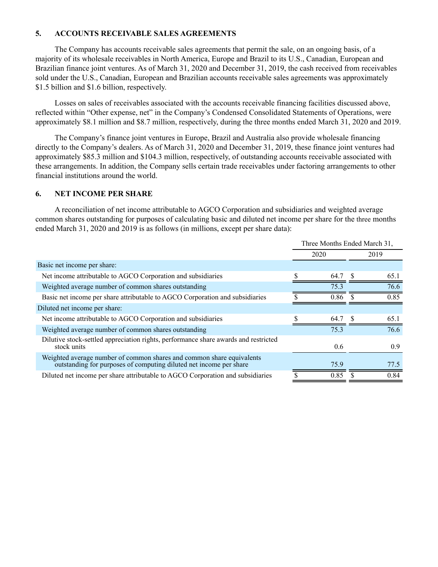## **5. ACCOUNTS RECEIVABLE SALES AGREEMENTS**

The Company has accounts receivable sales agreements that permit the sale, on an ongoing basis, of a majority of its wholesale receivables in North America, Europe and Brazil to its U.S., Canadian, European and Brazilian finance joint ventures. As of March 31, 2020 and December 31, 2019, the cash received from receivables sold under the U.S., Canadian, European and Brazilian accounts receivable sales agreements was approximately \$1.5 billion and \$1.6 billion, respectively.

Losses on sales of receivables associated with the accounts receivable financing facilities discussed above, reflected within "Other expense, net" in the Company's Condensed Consolidated Statements of Operations, were approximately \$8.1 million and \$8.7 million, respectively, during the three months ended March 31, 2020 and 2019.

The Company's finance joint ventures in Europe, Brazil and Australia also provide wholesale financing directly to the Company's dealers. As of March 31, 2020 and December 31, 2019, these finance joint ventures had approximately \$85.3 million and \$104.3 million, respectively, of outstanding accounts receivable associated with these arrangements. In addition, the Company sells certain trade receivables under factoring arrangements to other financial institutions around the world.

#### **6. NET INCOME PER SHARE**

A reconciliation of net income attributable to AGCO Corporation and subsidiaries and weighted average common shares outstanding for purposes of calculating basic and diluted net income per share for the three months ended March 31, 2020 and 2019 is as follows (in millions, except per share data):

|                                                                                                                                             | Three Months Ended March 31, |      |      |                  |  |
|---------------------------------------------------------------------------------------------------------------------------------------------|------------------------------|------|------|------------------|--|
|                                                                                                                                             |                              | 2020 | 2019 |                  |  |
| Basic net income per share:                                                                                                                 |                              |      |      |                  |  |
| Net income attributable to AGCO Corporation and subsidiaries                                                                                |                              | 64.7 |      | 65.1             |  |
| Weighted average number of common shares outstanding                                                                                        |                              | 75.3 |      | 76.6             |  |
| Basic net income per share attributable to AGCO Corporation and subsidiaries                                                                |                              | 0.86 |      | 0.85             |  |
| Diluted net income per share:                                                                                                               |                              |      |      |                  |  |
| Net income attributable to AGCO Corporation and subsidiaries                                                                                |                              | 64.7 | -S   | 65.1             |  |
| Weighted average number of common shares outstanding                                                                                        |                              | 75.3 |      | 76.6             |  |
| Dilutive stock-settled appreciation rights, performance share awards and restricted<br>stock units                                          |                              | 0.6  |      | 0.9 <sup>°</sup> |  |
| Weighted average number of common shares and common share equivalents<br>outstanding for purposes of computing diluted net income per share |                              | 75.9 |      | 77.5             |  |
| Diluted net income per share attributable to AGCO Corporation and subsidiaries                                                              |                              | 0.85 |      | 0.84             |  |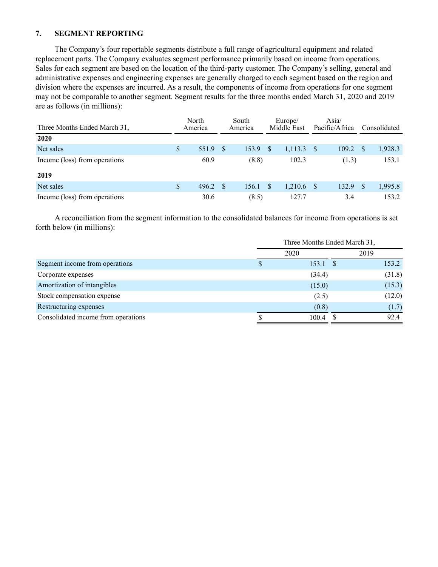## **7. SEGMENT REPORTING**

The Company's four reportable segments distribute a full range of agricultural equipment and related replacement parts. The Company evaluates segment performance primarily based on income from operations. Sales for each segment are based on the location of the third-party customer. The Company's selling, general and administrative expenses and engineering expenses are generally charged to each segment based on the region and division where the expenses are incurred. As a result, the components of income from operations for one segment may not be comparable to another segment. Segment results for the three months ended March 31, 2020 and 2019 are as follows (in millions):

| Three Months Ended March 31,  |    | North<br>America |    | South<br>America |    | Europe/<br>Middle East | Asia/<br>Pacific/Africa |     | Consolidated |
|-------------------------------|----|------------------|----|------------------|----|------------------------|-------------------------|-----|--------------|
| 2020                          |    |                  |    |                  |    |                        |                         |     |              |
| Net sales                     | S. | 551.9            | -S | 153.9            | -S | 1,113.3                | 109.2                   |     | 1,928.3      |
| Income (loss) from operations |    | 60.9             |    | (8.8)            |    | 102.3                  | (1.3)                   |     | 153.1        |
| 2019                          |    |                  |    |                  |    |                        |                         |     |              |
| Net sales                     | \$ | 496.2            | -S | 156.1            | S  | $1,210.6$ \$           | 132.9                   | - S | 1,995.8      |
| Income (loss) from operations |    | 30.6             |    | (8.5)            |    | 127.7                  | 3.4                     |     | 153.2        |

A reconciliation from the segment information to the consolidated balances for income from operations is set forth below (in millions):

|                                     |      | Three Months Ended March 31, |  |      |        |
|-------------------------------------|------|------------------------------|--|------|--------|
|                                     | 2020 |                              |  | 2019 |        |
| Segment income from operations      |      | 153.1                        |  |      | 153.2  |
| Corporate expenses                  |      | (34.4)                       |  |      | (31.8) |
| Amortization of intangibles         |      | (15.0)                       |  |      | (15.3) |
| Stock compensation expense          |      | (2.5)                        |  |      | (12.0) |
| Restructuring expenses              |      | (0.8)                        |  |      | (1.7)  |
| Consolidated income from operations |      | 100.4                        |  |      | 92.4   |